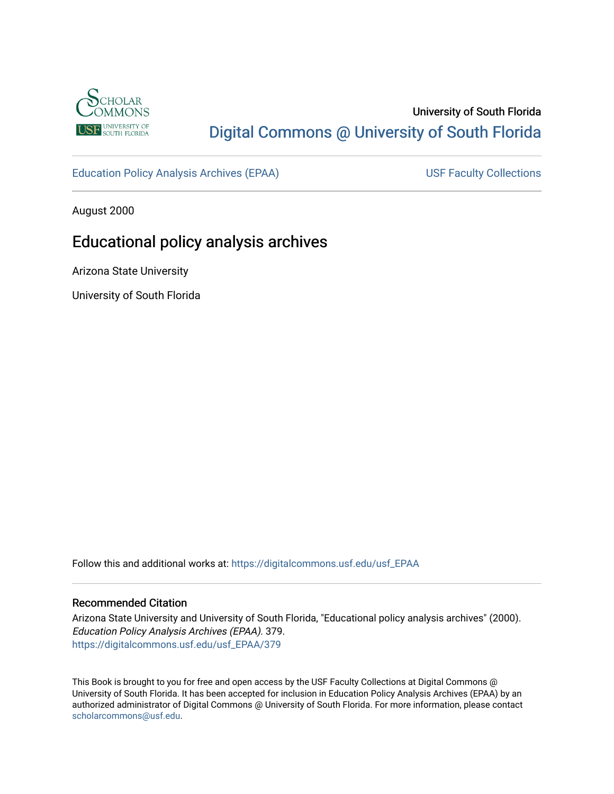

# University of South Florida [Digital Commons @ University of South Florida](https://digitalcommons.usf.edu/)

[Education Policy Analysis Archives \(EPAA\)](https://digitalcommons.usf.edu/usf_EPAA) USF Faculty Collections

August 2000

# Educational policy analysis archives

Arizona State University

University of South Florida

Follow this and additional works at: [https://digitalcommons.usf.edu/usf\\_EPAA](https://digitalcommons.usf.edu/usf_EPAA?utm_source=digitalcommons.usf.edu%2Fusf_EPAA%2F379&utm_medium=PDF&utm_campaign=PDFCoverPages)

#### Recommended Citation

Arizona State University and University of South Florida, "Educational policy analysis archives" (2000). Education Policy Analysis Archives (EPAA). 379. [https://digitalcommons.usf.edu/usf\\_EPAA/379](https://digitalcommons.usf.edu/usf_EPAA/379?utm_source=digitalcommons.usf.edu%2Fusf_EPAA%2F379&utm_medium=PDF&utm_campaign=PDFCoverPages)

This Book is brought to you for free and open access by the USF Faculty Collections at Digital Commons @ University of South Florida. It has been accepted for inclusion in Education Policy Analysis Archives (EPAA) by an authorized administrator of Digital Commons @ University of South Florida. For more information, please contact [scholarcommons@usf.edu.](mailto:scholarcommons@usf.edu)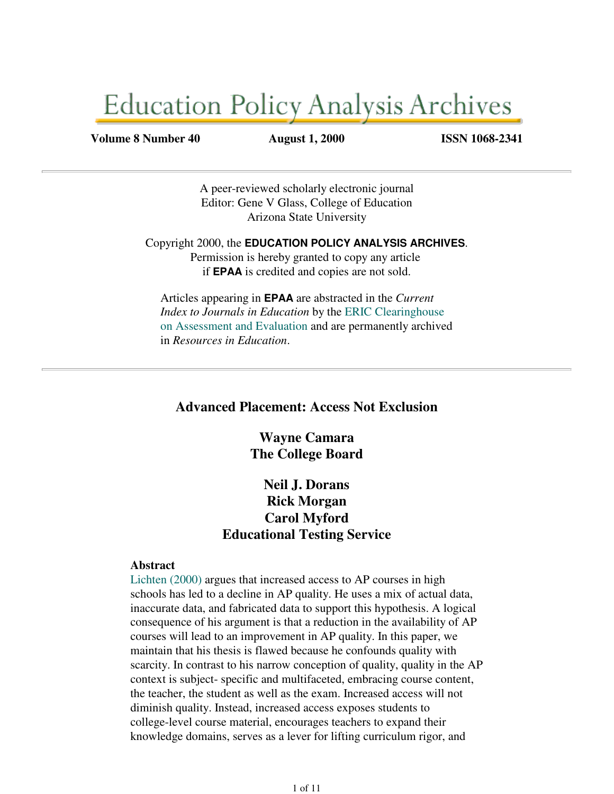# **Education Policy Analysis Archives**

**Volume 8 Number 40 August 1, 2000 ISSN 1068-2341**

A peer-reviewed scholarly electronic journal Editor: Gene V Glass, College of Education Arizona State University

Copyright 2000, the **EDUCATION POLICY ANALYSIS ARCHIVES**. Permission is hereby granted to copy any article if **EPAA** is credited and copies are not sold.

Articles appearing in **EPAA** are abstracted in the *Current Index to Journals in Education* by the ERIC Clearinghouse on Assessment and Evaluation and are permanently archived in *Resources in Education*.

# **Advanced Placement: Access Not Exclusion**

**Wayne Camara The College Board**

# **Neil J. Dorans Rick Morgan Carol Myford Educational Testing Service**

#### **Abstract**

Lichten (2000) argues that increased access to AP courses in high schools has led to a decline in AP quality. He uses a mix of actual data, inaccurate data, and fabricated data to support this hypothesis. A logical consequence of his argument is that a reduction in the availability of AP courses will lead to an improvement in AP quality. In this paper, we maintain that his thesis is flawed because he confounds quality with scarcity. In contrast to his narrow conception of quality, quality in the AP context is subject- specific and multifaceted, embracing course content, the teacher, the student as well as the exam. Increased access will not diminish quality. Instead, increased access exposes students to college-level course material, encourages teachers to expand their knowledge domains, serves as a lever for lifting curriculum rigor, and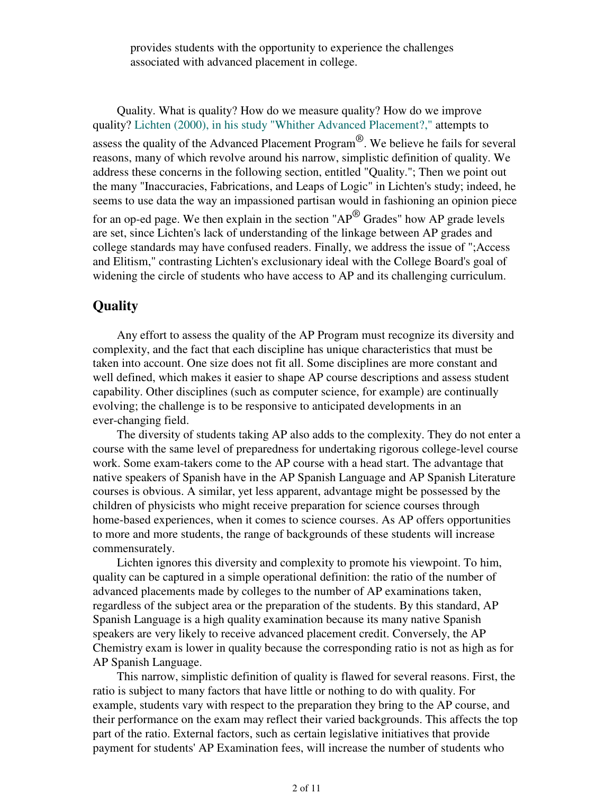provides students with the opportunity to experience the challenges associated with advanced placement in college.

 Quality. What is quality? How do we measure quality? How do we improve quality? Lichten (2000), in his study "Whither Advanced Placement?," attempts to assess the quality of the Advanced Placement Program $^{\circledR}$ . We believe he fails for several reasons, many of which revolve around his narrow, simplistic definition of quality. We address these concerns in the following section, entitled "Quality."; Then we point out the many "Inaccuracies, Fabrications, and Leaps of Logic" in Lichten's study; indeed, he seems to use data the way an impassioned partisan would in fashioning an opinion piece for an op-ed page. We then explain in the section " $AP^{\circledR}$  Grades" how AP grade levels are set, since Lichten's lack of understanding of the linkage between AP grades and college standards may have confused readers. Finally, we address the issue of ";Access and Elitism," contrasting Lichten's exclusionary ideal with the College Board's goal of widening the circle of students who have access to AP and its challenging curriculum.

# **Quality**

 Any effort to assess the quality of the AP Program must recognize its diversity and complexity, and the fact that each discipline has unique characteristics that must be taken into account. One size does not fit all. Some disciplines are more constant and well defined, which makes it easier to shape AP course descriptions and assess student capability. Other disciplines (such as computer science, for example) are continually evolving; the challenge is to be responsive to anticipated developments in an ever-changing field.

 The diversity of students taking AP also adds to the complexity. They do not enter a course with the same level of preparedness for undertaking rigorous college-level course work. Some exam-takers come to the AP course with a head start. The advantage that native speakers of Spanish have in the AP Spanish Language and AP Spanish Literature courses is obvious. A similar, yet less apparent, advantage might be possessed by the children of physicists who might receive preparation for science courses through home-based experiences, when it comes to science courses. As AP offers opportunities to more and more students, the range of backgrounds of these students will increase commensurately.

 Lichten ignores this diversity and complexity to promote his viewpoint. To him, quality can be captured in a simple operational definition: the ratio of the number of advanced placements made by colleges to the number of AP examinations taken, regardless of the subject area or the preparation of the students. By this standard, AP Spanish Language is a high quality examination because its many native Spanish speakers are very likely to receive advanced placement credit. Conversely, the AP Chemistry exam is lower in quality because the corresponding ratio is not as high as for AP Spanish Language.

 This narrow, simplistic definition of quality is flawed for several reasons. First, the ratio is subject to many factors that have little or nothing to do with quality. For example, students vary with respect to the preparation they bring to the AP course, and their performance on the exam may reflect their varied backgrounds. This affects the top part of the ratio. External factors, such as certain legislative initiatives that provide payment for students' AP Examination fees, will increase the number of students who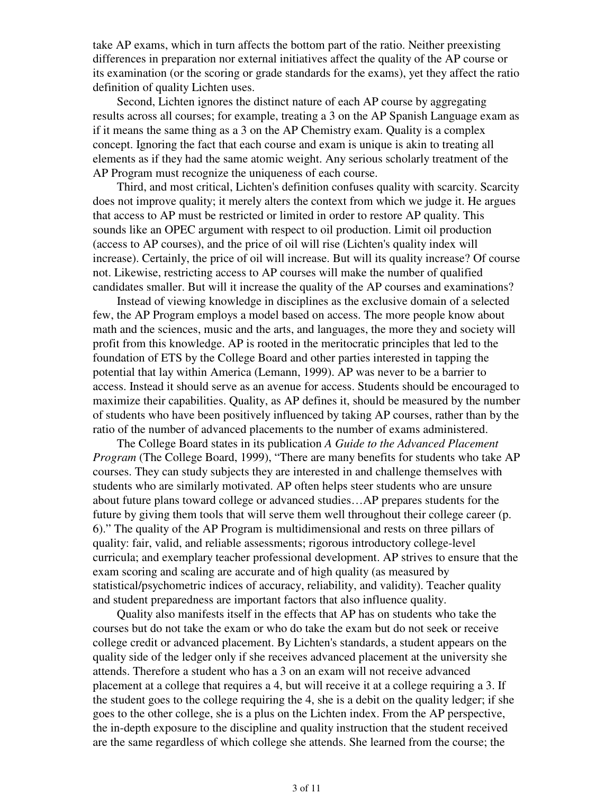take AP exams, which in turn affects the bottom part of the ratio. Neither preexisting differences in preparation nor external initiatives affect the quality of the AP course or its examination (or the scoring or grade standards for the exams), yet they affect the ratio definition of quality Lichten uses.

 Second, Lichten ignores the distinct nature of each AP course by aggregating results across all courses; for example, treating a 3 on the AP Spanish Language exam as if it means the same thing as a 3 on the AP Chemistry exam. Quality is a complex concept. Ignoring the fact that each course and exam is unique is akin to treating all elements as if they had the same atomic weight. Any serious scholarly treatment of the AP Program must recognize the uniqueness of each course.

 Third, and most critical, Lichten's definition confuses quality with scarcity. Scarcity does not improve quality; it merely alters the context from which we judge it. He argues that access to AP must be restricted or limited in order to restore AP quality. This sounds like an OPEC argument with respect to oil production. Limit oil production (access to AP courses), and the price of oil will rise (Lichten's quality index will increase). Certainly, the price of oil will increase. But will its quality increase? Of course not. Likewise, restricting access to AP courses will make the number of qualified candidates smaller. But will it increase the quality of the AP courses and examinations?

 Instead of viewing knowledge in disciplines as the exclusive domain of a selected few, the AP Program employs a model based on access. The more people know about math and the sciences, music and the arts, and languages, the more they and society will profit from this knowledge. AP is rooted in the meritocratic principles that led to the foundation of ETS by the College Board and other parties interested in tapping the potential that lay within America (Lemann, 1999). AP was never to be a barrier to access. Instead it should serve as an avenue for access. Students should be encouraged to maximize their capabilities. Quality, as AP defines it, should be measured by the number of students who have been positively influenced by taking AP courses, rather than by the ratio of the number of advanced placements to the number of exams administered.

 The College Board states in its publication *A Guide to the Advanced Placement Program* (The College Board, 1999), "There are many benefits for students who take AP courses. They can study subjects they are interested in and challenge themselves with students who are similarly motivated. AP often helps steer students who are unsure about future plans toward college or advanced studies…AP prepares students for the future by giving them tools that will serve them well throughout their college career (p. 6)." The quality of the AP Program is multidimensional and rests on three pillars of quality: fair, valid, and reliable assessments; rigorous introductory college-level curricula; and exemplary teacher professional development. AP strives to ensure that the exam scoring and scaling are accurate and of high quality (as measured by statistical/psychometric indices of accuracy, reliability, and validity). Teacher quality and student preparedness are important factors that also influence quality.

 Quality also manifests itself in the effects that AP has on students who take the courses but do not take the exam or who do take the exam but do not seek or receive college credit or advanced placement. By Lichten's standards, a student appears on the quality side of the ledger only if she receives advanced placement at the university she attends. Therefore a student who has a 3 on an exam will not receive advanced placement at a college that requires a 4, but will receive it at a college requiring a 3. If the student goes to the college requiring the 4, she is a debit on the quality ledger; if she goes to the other college, she is a plus on the Lichten index. From the AP perspective, the in-depth exposure to the discipline and quality instruction that the student received are the same regardless of which college she attends. She learned from the course; the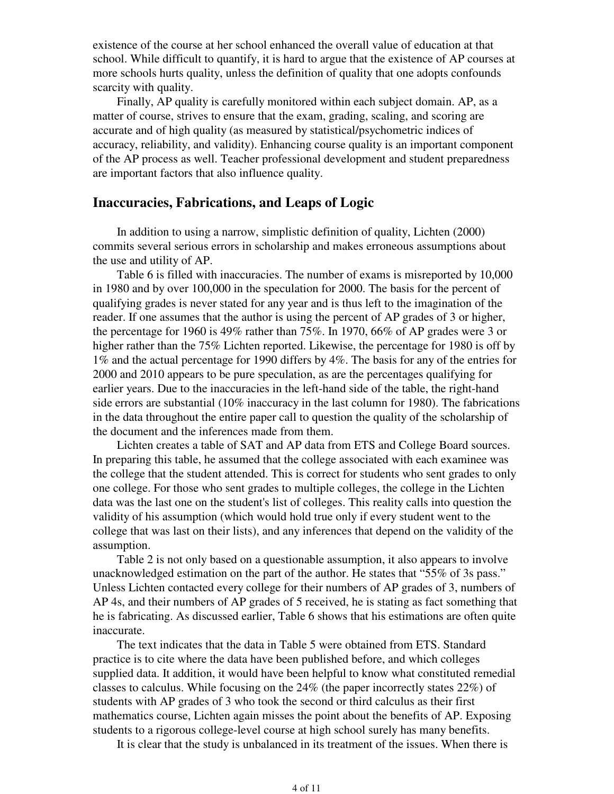existence of the course at her school enhanced the overall value of education at that school. While difficult to quantify, it is hard to argue that the existence of AP courses at more schools hurts quality, unless the definition of quality that one adopts confounds scarcity with quality.

 Finally, AP quality is carefully monitored within each subject domain. AP, as a matter of course, strives to ensure that the exam, grading, scaling, and scoring are accurate and of high quality (as measured by statistical/psychometric indices of accuracy, reliability, and validity). Enhancing course quality is an important component of the AP process as well. Teacher professional development and student preparedness are important factors that also influence quality.

# **Inaccuracies, Fabrications, and Leaps of Logic**

 In addition to using a narrow, simplistic definition of quality, Lichten (2000) commits several serious errors in scholarship and makes erroneous assumptions about the use and utility of AP.

 Table 6 is filled with inaccuracies. The number of exams is misreported by 10,000 in 1980 and by over 100,000 in the speculation for 2000. The basis for the percent of qualifying grades is never stated for any year and is thus left to the imagination of the reader. If one assumes that the author is using the percent of AP grades of 3 or higher, the percentage for 1960 is 49% rather than 75%. In 1970, 66% of AP grades were 3 or higher rather than the 75% Lichten reported. Likewise, the percentage for 1980 is off by 1% and the actual percentage for 1990 differs by 4%. The basis for any of the entries for 2000 and 2010 appears to be pure speculation, as are the percentages qualifying for earlier years. Due to the inaccuracies in the left-hand side of the table, the right-hand side errors are substantial (10% inaccuracy in the last column for 1980). The fabrications in the data throughout the entire paper call to question the quality of the scholarship of the document and the inferences made from them.

 Lichten creates a table of SAT and AP data from ETS and College Board sources. In preparing this table, he assumed that the college associated with each examinee was the college that the student attended. This is correct for students who sent grades to only one college. For those who sent grades to multiple colleges, the college in the Lichten data was the last one on the student's list of colleges. This reality calls into question the validity of his assumption (which would hold true only if every student went to the college that was last on their lists), and any inferences that depend on the validity of the assumption.

 Table 2 is not only based on a questionable assumption, it also appears to involve unacknowledged estimation on the part of the author. He states that "55% of 3s pass." Unless Lichten contacted every college for their numbers of AP grades of 3, numbers of AP 4s, and their numbers of AP grades of 5 received, he is stating as fact something that he is fabricating. As discussed earlier, Table 6 shows that his estimations are often quite inaccurate.

 The text indicates that the data in Table 5 were obtained from ETS. Standard practice is to cite where the data have been published before, and which colleges supplied data. It addition, it would have been helpful to know what constituted remedial classes to calculus. While focusing on the 24% (the paper incorrectly states 22%) of students with AP grades of 3 who took the second or third calculus as their first mathematics course, Lichten again misses the point about the benefits of AP. Exposing students to a rigorous college-level course at high school surely has many benefits.

It is clear that the study is unbalanced in its treatment of the issues. When there is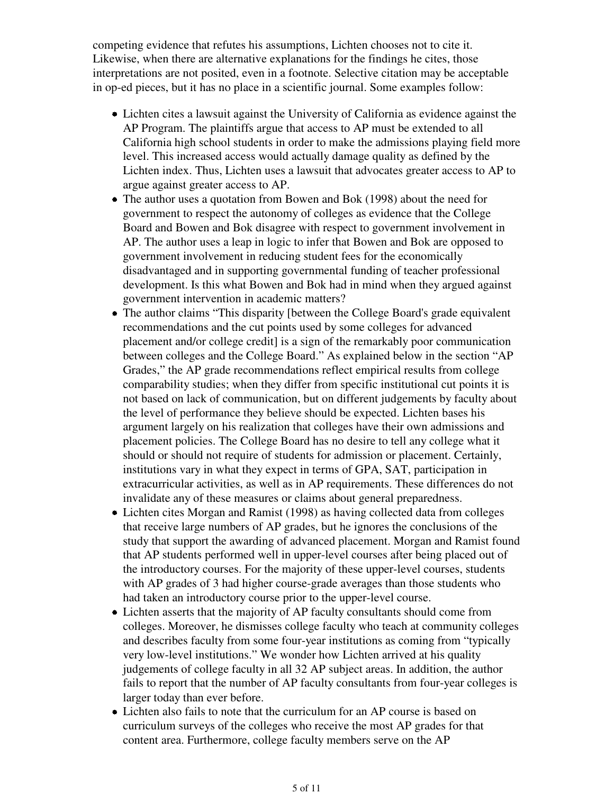competing evidence that refutes his assumptions, Lichten chooses not to cite it. Likewise, when there are alternative explanations for the findings he cites, those interpretations are not posited, even in a footnote. Selective citation may be acceptable in op-ed pieces, but it has no place in a scientific journal. Some examples follow:

- Lichten cites a lawsuit against the University of California as evidence against the AP Program. The plaintiffs argue that access to AP must be extended to all California high school students in order to make the admissions playing field more level. This increased access would actually damage quality as defined by the Lichten index. Thus, Lichten uses a lawsuit that advocates greater access to AP to argue against greater access to AP.
- The author uses a quotation from Bowen and Bok (1998) about the need for government to respect the autonomy of colleges as evidence that the College Board and Bowen and Bok disagree with respect to government involvement in AP. The author uses a leap in logic to infer that Bowen and Bok are opposed to government involvement in reducing student fees for the economically disadvantaged and in supporting governmental funding of teacher professional development. Is this what Bowen and Bok had in mind when they argued against government intervention in academic matters?
- The author claims "This disparity [between the College Board's grade equivalent recommendations and the cut points used by some colleges for advanced placement and/or college credit] is a sign of the remarkably poor communication between colleges and the College Board." As explained below in the section "AP Grades," the AP grade recommendations reflect empirical results from college comparability studies; when they differ from specific institutional cut points it is not based on lack of communication, but on different judgements by faculty about the level of performance they believe should be expected. Lichten bases his argument largely on his realization that colleges have their own admissions and placement policies. The College Board has no desire to tell any college what it should or should not require of students for admission or placement. Certainly, institutions vary in what they expect in terms of GPA, SAT, participation in extracurricular activities, as well as in AP requirements. These differences do not invalidate any of these measures or claims about general preparedness.
- Lichten cites Morgan and Ramist (1998) as having collected data from colleges that receive large numbers of AP grades, but he ignores the conclusions of the study that support the awarding of advanced placement. Morgan and Ramist found that AP students performed well in upper-level courses after being placed out of the introductory courses. For the majority of these upper-level courses, students with AP grades of 3 had higher course-grade averages than those students who had taken an introductory course prior to the upper-level course.
- Lichten asserts that the majority of AP faculty consultants should come from colleges. Moreover, he dismisses college faculty who teach at community colleges and describes faculty from some four-year institutions as coming from "typically very low-level institutions." We wonder how Lichten arrived at his quality judgements of college faculty in all 32 AP subject areas. In addition, the author fails to report that the number of AP faculty consultants from four-year colleges is larger today than ever before.
- Lichten also fails to note that the curriculum for an AP course is based on curriculum surveys of the colleges who receive the most AP grades for that content area. Furthermore, college faculty members serve on the AP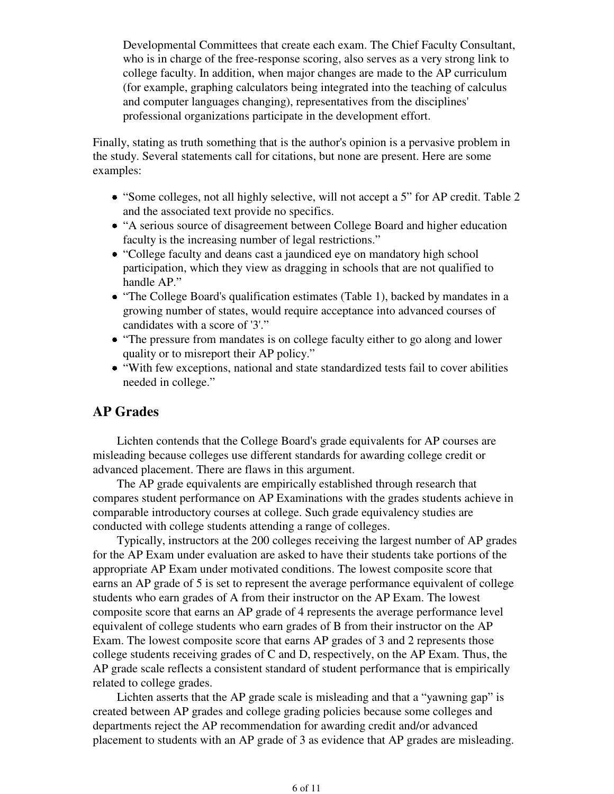Developmental Committees that create each exam. The Chief Faculty Consultant, who is in charge of the free-response scoring, also serves as a very strong link to college faculty. In addition, when major changes are made to the AP curriculum (for example, graphing calculators being integrated into the teaching of calculus and computer languages changing), representatives from the disciplines' professional organizations participate in the development effort.

Finally, stating as truth something that is the author's opinion is a pervasive problem in the study. Several statements call for citations, but none are present. Here are some examples:

- "Some colleges, not all highly selective, will not accept a 5" for AP credit. Table 2 and the associated text provide no specifics.
- "A serious source of disagreement between College Board and higher education faculty is the increasing number of legal restrictions."
- "College faculty and deans cast a jaundiced eye on mandatory high school participation, which they view as dragging in schools that are not qualified to handle AP."
- "The College Board's qualification estimates (Table 1), backed by mandates in a growing number of states, would require acceptance into advanced courses of candidates with a score of '3'."
- "The pressure from mandates is on college faculty either to go along and lower quality or to misreport their AP policy."
- "With few exceptions, national and state standardized tests fail to cover abilities needed in college."

# **AP Grades**

 Lichten contends that the College Board's grade equivalents for AP courses are misleading because colleges use different standards for awarding college credit or advanced placement. There are flaws in this argument.

 The AP grade equivalents are empirically established through research that compares student performance on AP Examinations with the grades students achieve in comparable introductory courses at college. Such grade equivalency studies are conducted with college students attending a range of colleges.

 Typically, instructors at the 200 colleges receiving the largest number of AP grades for the AP Exam under evaluation are asked to have their students take portions of the appropriate AP Exam under motivated conditions. The lowest composite score that earns an AP grade of 5 is set to represent the average performance equivalent of college students who earn grades of A from their instructor on the AP Exam. The lowest composite score that earns an AP grade of 4 represents the average performance level equivalent of college students who earn grades of B from their instructor on the AP Exam. The lowest composite score that earns AP grades of 3 and 2 represents those college students receiving grades of C and D, respectively, on the AP Exam. Thus, the AP grade scale reflects a consistent standard of student performance that is empirically related to college grades.

 Lichten asserts that the AP grade scale is misleading and that a "yawning gap" is created between AP grades and college grading policies because some colleges and departments reject the AP recommendation for awarding credit and/or advanced placement to students with an AP grade of 3 as evidence that AP grades are misleading.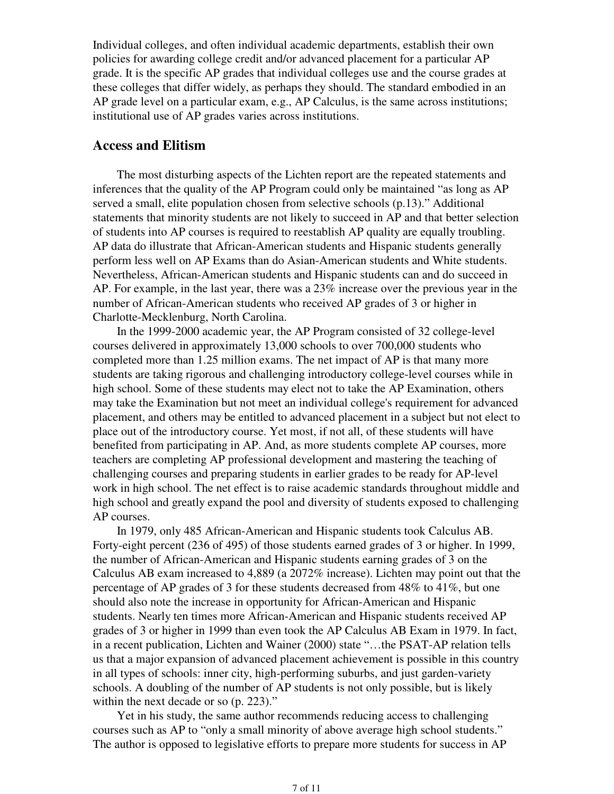Individual colleges, and often individual academic departments, establish their own policies for awarding college credit and/or advanced placement for a particular AP grade. It is the specific AP grades that individual colleges use and the course grades at these colleges that differ widely, as perhaps they should. The standard embodied in an AP grade level on a particular exam, e.g., AP Calculus, is the same across institutions; institutional use of AP grades varies across institutions.

# **Access and Elitism**

 The most disturbing aspects of the Lichten report are the repeated statements and inferences that the quality of the AP Program could only be maintained "as long as AP served a small, elite population chosen from selective schools (p.13)." Additional statements that minority students are not likely to succeed in AP and that better selection of students into AP courses is required to reestablish AP quality are equally troubling. AP data do illustrate that African-American students and Hispanic students generally perform less well on AP Exams than do Asian-American students and White students. Nevertheless, African-American students and Hispanic students can and do succeed in AP. For example, in the last year, there was a 23% increase over the previous year in the number of African-American students who received AP grades of 3 or higher in Charlotte-Mecklenburg, North Carolina.

 In the 1999-2000 academic year, the AP Program consisted of 32 college-level courses delivered in approximately 13,000 schools to over 700,000 students who completed more than 1.25 million exams. The net impact of AP is that many more students are taking rigorous and challenging introductory college-level courses while in high school. Some of these students may elect not to take the AP Examination, others may take the Examination but not meet an individual college's requirement for advanced placement, and others may be entitled to advanced placement in a subject but not elect to place out of the introductory course. Yet most, if not all, of these students will have benefited from participating in AP. And, as more students complete AP courses, more teachers are completing AP professional development and mastering the teaching of challenging courses and preparing students in earlier grades to be ready for AP-level work in high school. The net effect is to raise academic standards throughout middle and high school and greatly expand the pool and diversity of students exposed to challenging AP courses.

 In 1979, only 485 African-American and Hispanic students took Calculus AB. Forty-eight percent (236 of 495) of those students earned grades of 3 or higher. In 1999, the number of African-American and Hispanic students earning grades of 3 on the Calculus AB exam increased to 4,889 (a 2072% increase). Lichten may point out that the percentage of AP grades of 3 for these students decreased from 48% to 41%, but one should also note the increase in opportunity for African-American and Hispanic students. Nearly ten times more African-American and Hispanic students received AP grades of 3 or higher in 1999 than even took the AP Calculus AB Exam in 1979. In fact, in a recent publication, Lichten and Wainer (2000) state "…the PSAT-AP relation tells us that a major expansion of advanced placement achievement is possible in this country in all types of schools: inner city, high-performing suburbs, and just garden-variety schools. A doubling of the number of AP students is not only possible, but is likely within the next decade or so (p. 223)."

 Yet in his study, the same author recommends reducing access to challenging courses such as AP to "only a small minority of above average high school students." The author is opposed to legislative efforts to prepare more students for success in AP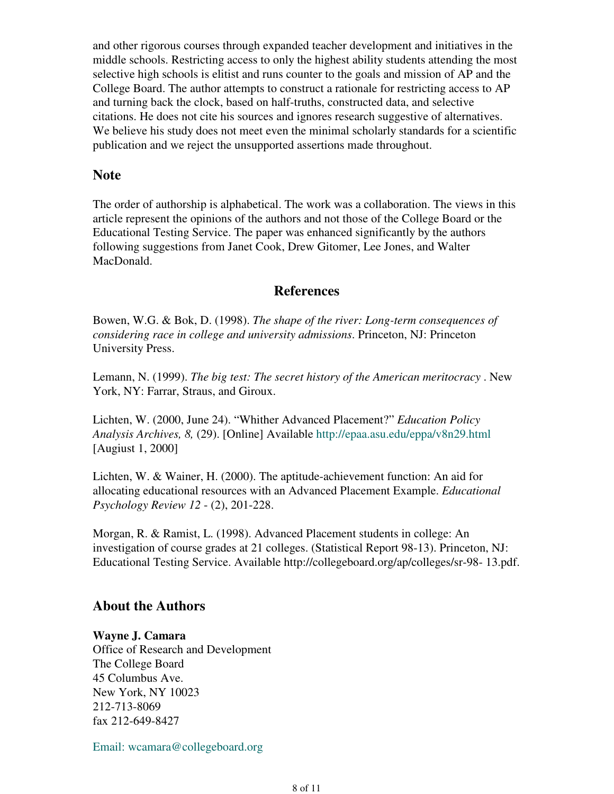and other rigorous courses through expanded teacher development and initiatives in the middle schools. Restricting access to only the highest ability students attending the most selective high schools is elitist and runs counter to the goals and mission of AP and the College Board. The author attempts to construct a rationale for restricting access to AP and turning back the clock, based on half-truths, constructed data, and selective citations. He does not cite his sources and ignores research suggestive of alternatives. We believe his study does not meet even the minimal scholarly standards for a scientific publication and we reject the unsupported assertions made throughout.

### **Note**

The order of authorship is alphabetical. The work was a collaboration. The views in this article represent the opinions of the authors and not those of the College Board or the Educational Testing Service. The paper was enhanced significantly by the authors following suggestions from Janet Cook, Drew Gitomer, Lee Jones, and Walter MacDonald.

## **References**

Bowen, W.G. & Bok, D. (1998). *The shape of the river: Long-term consequences of considering race in college and university admissions*. Princeton, NJ: Princeton University Press.

Lemann, N. (1999). *The big test: The secret history of the American meritocracy* . New York, NY: Farrar, Straus, and Giroux.

Lichten, W. (2000, June 24). "Whither Advanced Placement?" *Education Policy Analysis Archives, 8,* (29). [Online] Available http://epaa.asu.edu/eppa/v8n29.html [Augiust 1, 2000]

Lichten, W. & Wainer, H. (2000). The aptitude-achievement function: An aid for allocating educational resources with an Advanced Placement Example. *Educational Psychology Review 12* - (2), 201-228.

Morgan, R. & Ramist, L. (1998). Advanced Placement students in college: An investigation of course grades at 21 colleges. (Statistical Report 98-13). Princeton, NJ: Educational Testing Service. Available http://collegeboard.org/ap/colleges/sr-98- 13.pdf.

## **About the Authors**

#### **Wayne J. Camara**

Office of Research and Development The College Board 45 Columbus Ave. New York, NY 10023 212-713-8069 fax 212-649-8427

Email: wcamara@collegeboard.org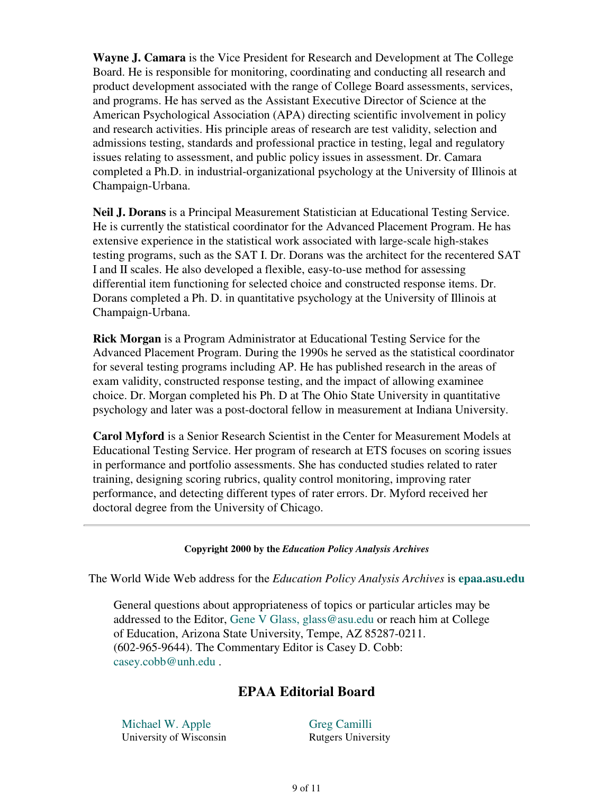**Wayne J. Camara** is the Vice President for Research and Development at The College Board. He is responsible for monitoring, coordinating and conducting all research and product development associated with the range of College Board assessments, services, and programs. He has served as the Assistant Executive Director of Science at the American Psychological Association (APA) directing scientific involvement in policy and research activities. His principle areas of research are test validity, selection and admissions testing, standards and professional practice in testing, legal and regulatory issues relating to assessment, and public policy issues in assessment. Dr. Camara completed a Ph.D. in industrial-organizational psychology at the University of Illinois at Champaign-Urbana.

**Neil J. Dorans** is a Principal Measurement Statistician at Educational Testing Service. He is currently the statistical coordinator for the Advanced Placement Program. He has extensive experience in the statistical work associated with large-scale high-stakes testing programs, such as the SAT I. Dr. Dorans was the architect for the recentered SAT I and II scales. He also developed a flexible, easy-to-use method for assessing differential item functioning for selected choice and constructed response items. Dr. Dorans completed a Ph. D. in quantitative psychology at the University of Illinois at Champaign-Urbana.

**Rick Morgan** is a Program Administrator at Educational Testing Service for the Advanced Placement Program. During the 1990s he served as the statistical coordinator for several testing programs including AP. He has published research in the areas of exam validity, constructed response testing, and the impact of allowing examinee choice. Dr. Morgan completed his Ph. D at The Ohio State University in quantitative psychology and later was a post-doctoral fellow in measurement at Indiana University.

**Carol Myford** is a Senior Research Scientist in the Center for Measurement Models at Educational Testing Service. Her program of research at ETS focuses on scoring issues in performance and portfolio assessments. She has conducted studies related to rater training, designing scoring rubrics, quality control monitoring, improving rater performance, and detecting different types of rater errors. Dr. Myford received her doctoral degree from the University of Chicago.

#### **Copyright 2000 by the** *Education Policy Analysis Archives*

The World Wide Web address for the *Education Policy Analysis Archives* is **epaa.asu.edu**

General questions about appropriateness of topics or particular articles may be addressed to the Editor, Gene V Glass, glass@asu.edu or reach him at College of Education, Arizona State University, Tempe, AZ 85287-0211. (602-965-9644). The Commentary Editor is Casey D. Cobb: casey.cobb@unh.edu .

# **EPAA Editorial Board**

Michael W. Apple University of Wisconsin Greg Camilli Rutgers University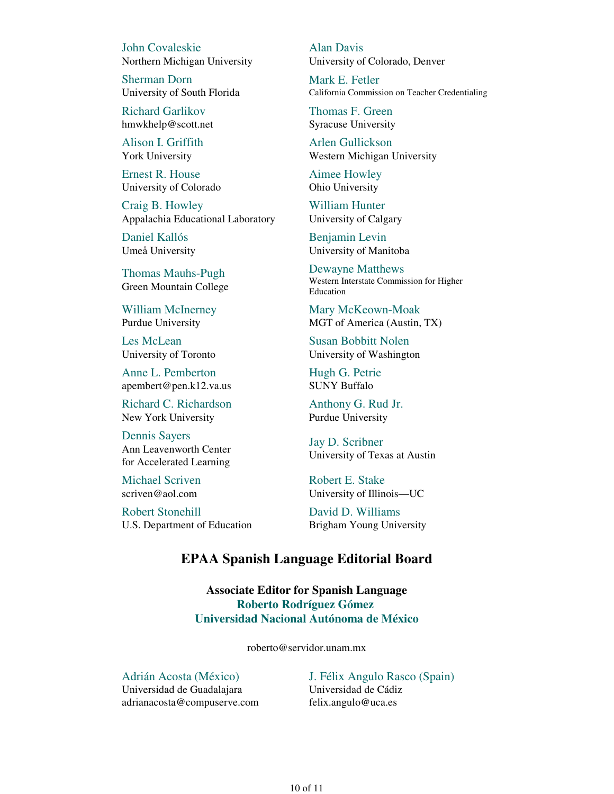John Covaleskie Northern Michigan University

Sherman Dorn University of South Florida

Richard Garlikov hmwkhelp@scott.net

Alison I. Griffith York University

Ernest R. House University of Colorado

Craig B. Howley Appalachia Educational Laboratory

Daniel Kallós Umeå University

Thomas Mauhs-Pugh Green Mountain College

William McInerney Purdue University

Les McLean University of Toronto

Anne L. Pemberton apembert@pen.k12.va.us

Richard C. Richardson New York University

Dennis Sayers Ann Leavenworth Center for Accelerated Learning

Michael Scriven scriven@aol.com

Robert Stonehill U.S. Department of Education Alan Davis University of Colorado, Denver

Mark E. Fetler California Commission on Teacher Credentialing

Thomas F. Green Syracuse University

Arlen Gullickson Western Michigan University

Aimee Howley Ohio University

William Hunter University of Calgary

Benjamin Levin University of Manitoba

Dewayne Matthews Western Interstate Commission for Higher Education

Mary McKeown-Moak MGT of America (Austin, TX)

Susan Bobbitt Nolen University of Washington

Hugh G. Petrie SUNY Buffalo

Anthony G. Rud Jr. Purdue University

Jay D. Scribner University of Texas at Austin

Robert E. Stake University of Illinois—UC

David D. Williams Brigham Young University

## **EPAA Spanish Language Editorial Board**

**Associate Editor for Spanish Language Roberto Rodríguez Gómez Universidad Nacional Autónoma de México**

roberto@servidor.unam.mx

Adrián Acosta (México) Universidad de Guadalajara adrianacosta@compuserve.com J. Félix Angulo Rasco (Spain) Universidad de Cádiz felix.angulo@uca.es